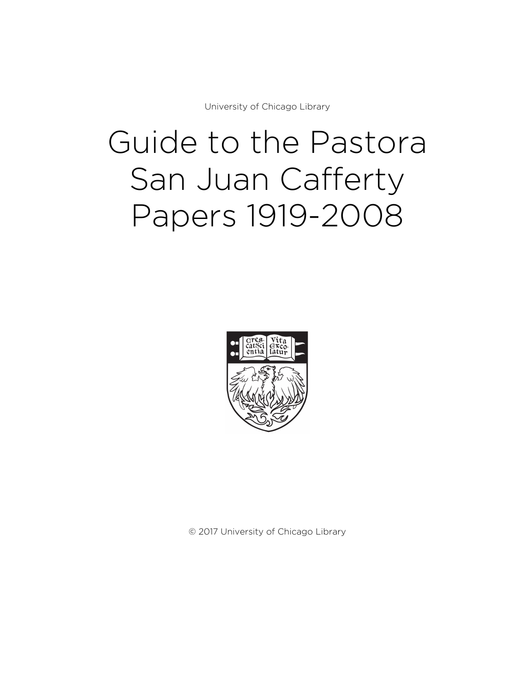University of Chicago Library

# Guide to the Pastora San Juan Cafferty Papers 1919-2008



© 2017 University of Chicago Library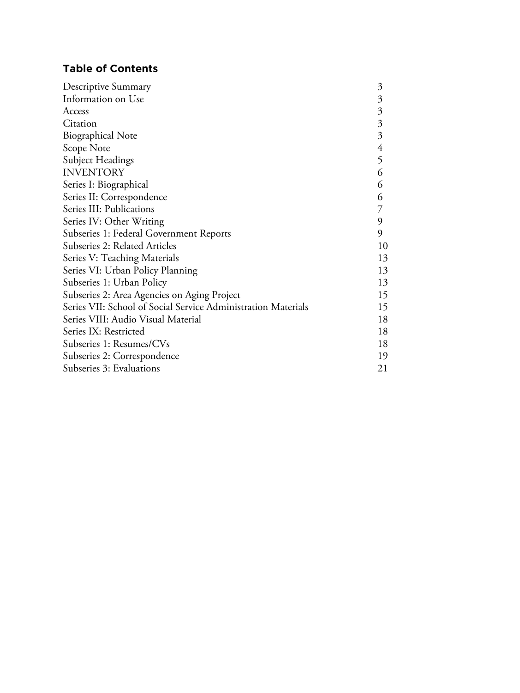# **Table of Contents**

| Descriptive Summary                                           | 3              |
|---------------------------------------------------------------|----------------|
| Information on Use                                            | 3              |
| Access                                                        | $\mathfrak{Z}$ |
| Citation                                                      | $\mathfrak{Z}$ |
| <b>Biographical Note</b>                                      | 3              |
| Scope Note                                                    | 4              |
| Subject Headings                                              | 5              |
| <b>INVENTORY</b>                                              | 6              |
| Series I: Biographical                                        | 6              |
| Series II: Correspondence                                     | 6              |
| Series III: Publications                                      |                |
| Series IV: Other Writing                                      | 9              |
| Subseries 1: Federal Government Reports                       | 9              |
| Subseries 2: Related Articles                                 | 10             |
| Series V: Teaching Materials                                  | 13             |
| Series VI: Urban Policy Planning                              | 13             |
| Subseries 1: Urban Policy                                     | 13             |
| Subseries 2: Area Agencies on Aging Project                   | 15             |
| Series VII: School of Social Service Administration Materials | 15             |
| Series VIII: Audio Visual Material                            | 18             |
| Series IX: Restricted                                         | 18             |
| Subseries 1: Resumes/CVs                                      | 18             |
| Subseries 2: Correspondence                                   | 19             |
| Subseries 3: Evaluations                                      | 21             |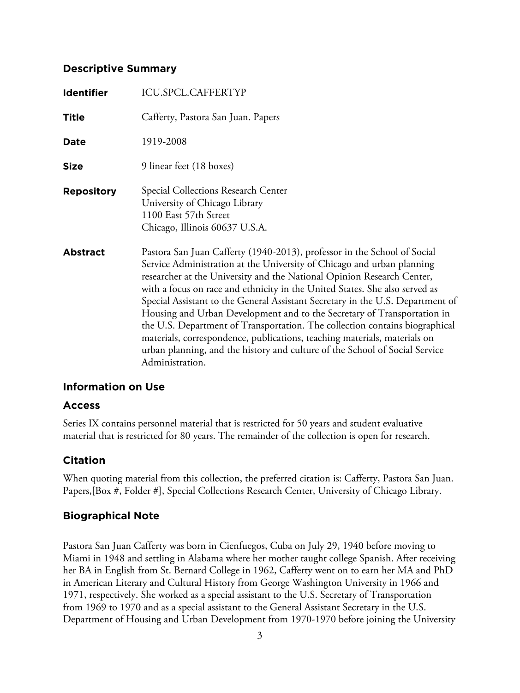## **Descriptive Summary**

| <b>Identifier</b> | <b>ICU.SPCL.CAFFERTYP</b>                                                                                                                                                                                                                                                                                                                                                                                                                                                                                                                                                                                                                                                                                                              |
|-------------------|----------------------------------------------------------------------------------------------------------------------------------------------------------------------------------------------------------------------------------------------------------------------------------------------------------------------------------------------------------------------------------------------------------------------------------------------------------------------------------------------------------------------------------------------------------------------------------------------------------------------------------------------------------------------------------------------------------------------------------------|
| <b>Title</b>      | Cafferty, Pastora San Juan. Papers                                                                                                                                                                                                                                                                                                                                                                                                                                                                                                                                                                                                                                                                                                     |
| <b>Date</b>       | 1919-2008                                                                                                                                                                                                                                                                                                                                                                                                                                                                                                                                                                                                                                                                                                                              |
| <b>Size</b>       | 9 linear feet (18 boxes)                                                                                                                                                                                                                                                                                                                                                                                                                                                                                                                                                                                                                                                                                                               |
| <b>Repository</b> | Special Collections Research Center<br>University of Chicago Library<br>1100 East 57th Street<br>Chicago, Illinois 60637 U.S.A.                                                                                                                                                                                                                                                                                                                                                                                                                                                                                                                                                                                                        |
| <b>Abstract</b>   | Pastora San Juan Cafferty (1940-2013), professor in the School of Social<br>Service Administration at the University of Chicago and urban planning<br>researcher at the University and the National Opinion Research Center,<br>with a focus on race and ethnicity in the United States. She also served as<br>Special Assistant to the General Assistant Secretary in the U.S. Department of<br>Housing and Urban Development and to the Secretary of Transportation in<br>the U.S. Department of Transportation. The collection contains biographical<br>materials, correspondence, publications, teaching materials, materials on<br>urban planning, and the history and culture of the School of Social Service<br>Administration. |

## **Information on Use**

## **Access**

Series IX contains personnel material that is restricted for 50 years and student evaluative material that is restricted for 80 years. The remainder of the collection is open for research.

## **Citation**

When quoting material from this collection, the preferred citation is: Cafferty, Pastora San Juan. Papers,[Box #, Folder #], Special Collections Research Center, University of Chicago Library.

# **Biographical Note**

Pastora San Juan Cafferty was born in Cienfuegos, Cuba on July 29, 1940 before moving to Miami in 1948 and settling in Alabama where her mother taught college Spanish. After receiving her BA in English from St. Bernard College in 1962, Cafferty went on to earn her MA and PhD in American Literary and Cultural History from George Washington University in 1966 and 1971, respectively. She worked as a special assistant to the U.S. Secretary of Transportation from 1969 to 1970 and as a special assistant to the General Assistant Secretary in the U.S. Department of Housing and Urban Development from 1970-1970 before joining the University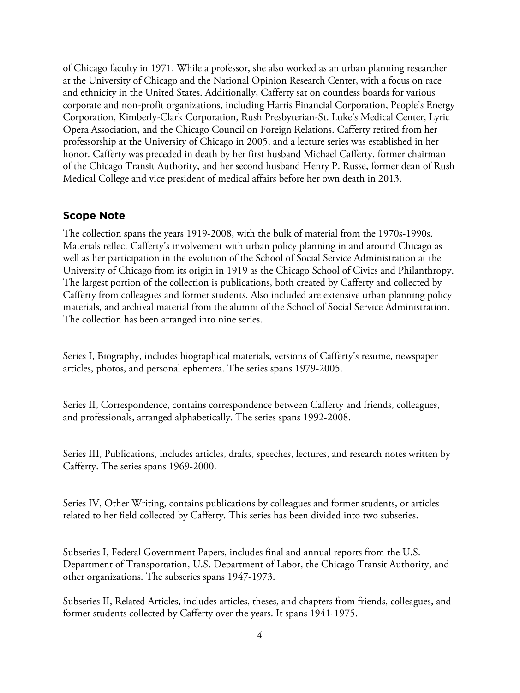of Chicago faculty in 1971. While a professor, she also worked as an urban planning researcher at the University of Chicago and the National Opinion Research Center, with a focus on race and ethnicity in the United States. Additionally, Cafferty sat on countless boards for various corporate and non-profit organizations, including Harris Financial Corporation, People's Energy Corporation, Kimberly-Clark Corporation, Rush Presbyterian-St. Luke's Medical Center, Lyric Opera Association, and the Chicago Council on Foreign Relations. Cafferty retired from her professorship at the University of Chicago in 2005, and a lecture series was established in her honor. Cafferty was preceded in death by her first husband Michael Cafferty, former chairman of the Chicago Transit Authority, and her second husband Henry P. Russe, former dean of Rush Medical College and vice president of medical affairs before her own death in 2013.

## **Scope Note**

The collection spans the years 1919-2008, with the bulk of material from the 1970s-1990s. Materials reflect Cafferty's involvement with urban policy planning in and around Chicago as well as her participation in the evolution of the School of Social Service Administration at the University of Chicago from its origin in 1919 as the Chicago School of Civics and Philanthropy. The largest portion of the collection is publications, both created by Cafferty and collected by Cafferty from colleagues and former students. Also included are extensive urban planning policy materials, and archival material from the alumni of the School of Social Service Administration. The collection has been arranged into nine series.

Series I, Biography, includes biographical materials, versions of Cafferty's resume, newspaper articles, photos, and personal ephemera. The series spans 1979-2005.

Series II, Correspondence, contains correspondence between Cafferty and friends, colleagues, and professionals, arranged alphabetically. The series spans 1992-2008.

Series III, Publications, includes articles, drafts, speeches, lectures, and research notes written by Cafferty. The series spans 1969-2000.

Series IV, Other Writing, contains publications by colleagues and former students, or articles related to her field collected by Cafferty. This series has been divided into two subseries.

Subseries I, Federal Government Papers, includes final and annual reports from the U.S. Department of Transportation, U.S. Department of Labor, the Chicago Transit Authority, and other organizations. The subseries spans 1947-1973.

Subseries II, Related Articles, includes articles, theses, and chapters from friends, colleagues, and former students collected by Cafferty over the years. It spans 1941-1975.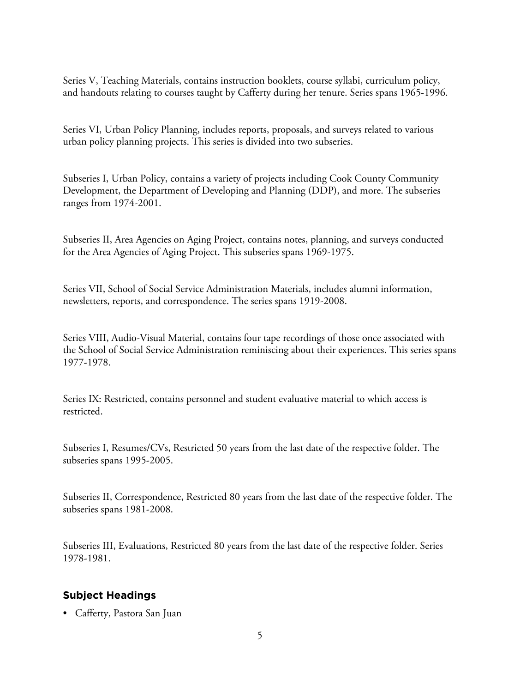Series V, Teaching Materials, contains instruction booklets, course syllabi, curriculum policy, and handouts relating to courses taught by Cafferty during her tenure. Series spans 1965-1996.

Series VI, Urban Policy Planning, includes reports, proposals, and surveys related to various urban policy planning projects. This series is divided into two subseries.

Subseries I, Urban Policy, contains a variety of projects including Cook County Community Development, the Department of Developing and Planning (DDP), and more. The subseries ranges from 1974-2001.

Subseries II, Area Agencies on Aging Project, contains notes, planning, and surveys conducted for the Area Agencies of Aging Project. This subseries spans 1969-1975.

Series VII, School of Social Service Administration Materials, includes alumni information, newsletters, reports, and correspondence. The series spans 1919-2008.

Series VIII, Audio-Visual Material, contains four tape recordings of those once associated with the School of Social Service Administration reminiscing about their experiences. This series spans 1977-1978.

Series IX: Restricted, contains personnel and student evaluative material to which access is restricted.

Subseries I, Resumes/CVs, Restricted 50 years from the last date of the respective folder. The subseries spans 1995-2005.

Subseries II, Correspondence, Restricted 80 years from the last date of the respective folder. The subseries spans 1981-2008.

Subseries III, Evaluations, Restricted 80 years from the last date of the respective folder. Series 1978-1981.

# **Subject Headings**

• Cafferty, Pastora San Juan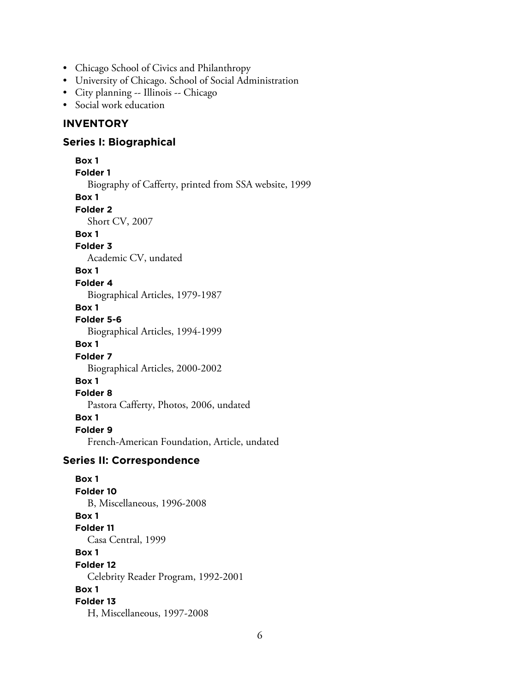- Chicago School of Civics and Philanthropy
- University of Chicago. School of Social Administration
- City planning -- Illinois -- Chicago
- Social work education

## **INVENTORY**

#### **Series I: Biographical**

**Box 1 Folder 1** Biography of Cafferty, printed from SSA website, 1999 **Box 1 Folder 2** Short CV, 2007 **Box 1 Folder 3** Academic CV, undated **Box 1 Folder 4** Biographical Articles, 1979-1987 **Box 1 Folder 5-6** Biographical Articles, 1994-1999 **Box 1 Folder 7** Biographical Articles, 2000-2002 **Box 1 Folder 8** Pastora Cafferty, Photos, 2006, undated **Box 1 Folder 9** French-American Foundation, Article, undated

#### **Series II: Correspondence**

**Box 1 Folder 10** B, Miscellaneous, 1996-2008 **Box 1 Folder 11** Casa Central, 1999 **Box 1 Folder 12** Celebrity Reader Program, 1992-2001 **Box 1 Folder 13** H, Miscellaneous, 1997-2008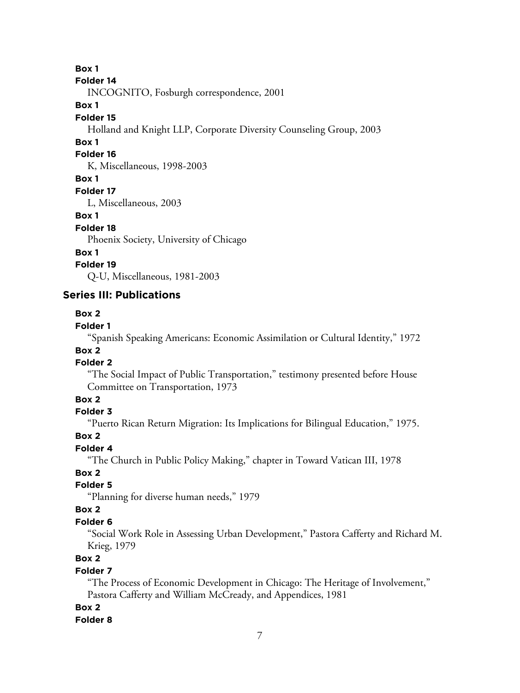**Box 1**

#### **Folder 14**

INCOGNITO, Fosburgh correspondence, 2001

## **Box 1**

#### **Folder 15**

Holland and Knight LLP, Corporate Diversity Counseling Group, 2003

## **Box 1**

#### **Folder 16**

K, Miscellaneous, 1998-2003

## **Box 1**

**Folder 17**

L, Miscellaneous, 2003

#### **Box 1**

#### **Folder 18**

Phoenix Society, University of Chicago

## **Box 1**

## **Folder 19**

Q-U, Miscellaneous, 1981-2003

## **Series III: Publications**

## **Box 2**

## **Folder 1**

"Spanish Speaking Americans: Economic Assimilation or Cultural Identity," 1972

#### **Box 2 Folder 2**

"The Social Impact of Public Transportation," testimony presented before House Committee on Transportation, 1973

## **Box 2**

## **Folder 3**

"Puerto Rican Return Migration: Its Implications for Bilingual Education," 1975.

## **Box 2**

## **Folder 4**

"The Church in Public Policy Making," chapter in Toward Vatican III, 1978

## **Box 2**

## **Folder 5**

"Planning for diverse human needs," 1979

## **Box 2**

## **Folder 6**

"Social Work Role in Assessing Urban Development," Pastora Cafferty and Richard M. Krieg, 1979

## **Box 2**

## **Folder 7**

"The Process of Economic Development in Chicago: The Heritage of Involvement," Pastora Cafferty and William McCready, and Appendices, 1981

## **Box 2**

## **Folder 8**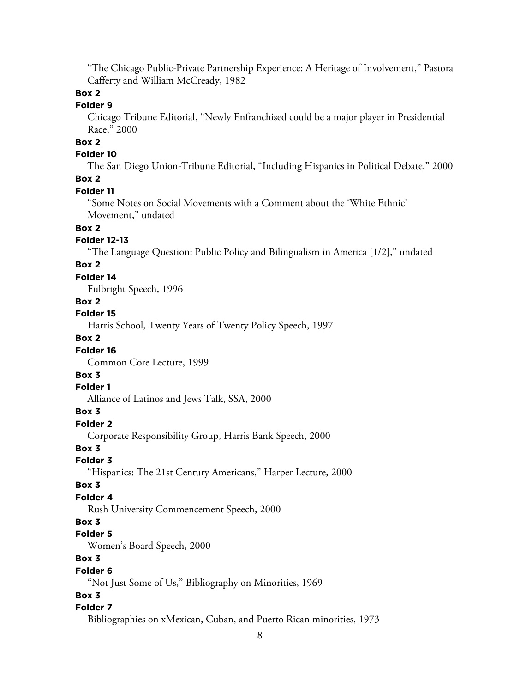"The Chicago Public-Private Partnership Experience: A Heritage of Involvement," Pastora Cafferty and William McCready, 1982

## **Box 2**

## **Folder 9**

Chicago Tribune Editorial, "Newly Enfranchised could be a major player in Presidential Race," 2000

# **Box 2**

## **Folder 10**

The San Diego Union-Tribune Editorial, "Including Hispanics in Political Debate," 2000 **Box 2**

# **Folder 11**

"Some Notes on Social Movements with a Comment about the 'White Ethnic' Movement," undated

## **Box 2**

#### **Folder 12-13**

"The Language Question: Public Policy and Bilingualism in America [1/2]," undated

## **Box 2**

#### **Folder 14**

Fulbright Speech, 1996

#### **Box 2**

#### **Folder 15**

Harris School, Twenty Years of Twenty Policy Speech, 1997

## **Box 2**

#### **Folder 16**

Common Core Lecture, 1999

## **Box 3**

#### **Folder 1**

Alliance of Latinos and Jews Talk, SSA, 2000

### **Box 3**

#### **Folder 2**

Corporate Responsibility Group, Harris Bank Speech, 2000

#### **Box 3**

#### **Folder 3**

"Hispanics: The 21st Century Americans," Harper Lecture, 2000

#### **Box 3**

#### **Folder 4**

Rush University Commencement Speech, 2000

#### **Box 3**

#### **Folder 5**

Women's Board Speech, 2000

## **Box 3**

#### **Folder 6**

"Not Just Some of Us," Bibliography on Minorities, 1969

## **Box 3**

## **Folder 7**

Bibliographies on xMexican, Cuban, and Puerto Rican minorities, 1973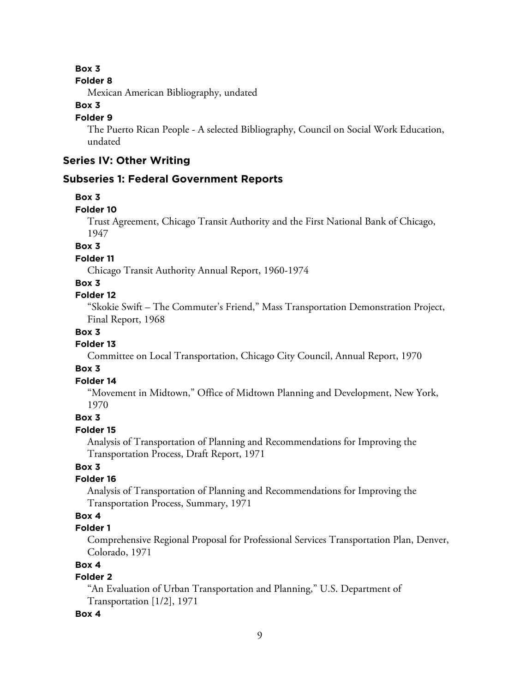#### **Box 3**

#### **Folder 8**

Mexican American Bibliography, undated

## **Box 3**

#### **Folder 9**

The Puerto Rican People - A selected Bibliography, Council on Social Work Education, undated

# **Series IV: Other Writing**

#### **Subseries 1: Federal Government Reports**

#### **Box 3**

#### **Folder 10**

Trust Agreement, Chicago Transit Authority and the First National Bank of Chicago, 1947

#### **Box 3**

**Folder 11**

Chicago Transit Authority Annual Report, 1960-1974

## **Box 3**

#### **Folder 12**

"Skokie Swift – The Commuter's Friend," Mass Transportation Demonstration Project, Final Report, 1968

#### **Box 3**

#### **Folder 13**

Committee on Local Transportation, Chicago City Council, Annual Report, 1970

#### **Box 3**

#### **Folder 14**

"Movement in Midtown," Office of Midtown Planning and Development, New York, 1970

## **Box 3**

#### **Folder 15**

Analysis of Transportation of Planning and Recommendations for Improving the Transportation Process, Draft Report, 1971

## **Box 3**

#### **Folder 16**

Analysis of Transportation of Planning and Recommendations for Improving the Transportation Process, Summary, 1971

## **Box 4**

## **Folder 1**

Comprehensive Regional Proposal for Professional Services Transportation Plan, Denver, Colorado, 1971

## **Box 4**

## **Folder 2**

"An Evaluation of Urban Transportation and Planning," U.S. Department of Transportation [1/2], 1971

#### **Box 4**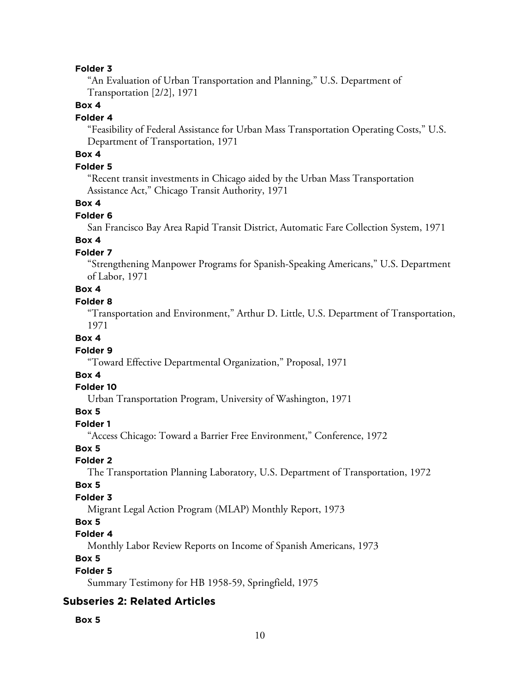"An Evaluation of Urban Transportation and Planning," U.S. Department of Transportation [2/2], 1971

#### **Box 4**

#### **Folder 4**

"Feasibility of Federal Assistance for Urban Mass Transportation Operating Costs," U.S. Department of Transportation, 1971

# **Box 4**

#### **Folder 5**

"Recent transit investments in Chicago aided by the Urban Mass Transportation Assistance Act," Chicago Transit Authority, 1971

#### **Box 4**

#### **Folder 6**

San Francisco Bay Area Rapid Transit District, Automatic Fare Collection System, 1971

#### **Box 4**

#### **Folder 7**

"Strengthening Manpower Programs for Spanish-Speaking Americans," U.S. Department of Labor, 1971

# **Box 4**

## **Folder 8**

"Transportation and Environment," Arthur D. Little, U.S. Department of Transportation, 1971

#### **Box 4**

#### **Folder 9**

"Toward Effective Departmental Organization," Proposal, 1971

#### **Box 4**

#### **Folder 10**

Urban Transportation Program, University of Washington, 1971

#### **Box 5**

#### **Folder 1**

"Access Chicago: Toward a Barrier Free Environment," Conference, 1972

#### **Box 5**

#### **Folder 2**

The Transportation Planning Laboratory, U.S. Department of Transportation, 1972

#### **Box 5**

#### **Folder 3**

Migrant Legal Action Program (MLAP) Monthly Report, 1973

## **Box 5**

#### **Folder 4**

Monthly Labor Review Reports on Income of Spanish Americans, 1973

## **Box 5**

#### **Folder 5**

Summary Testimony for HB 1958-59, Springfield, 1975

## **Subseries 2: Related Articles**

#### **Box 5**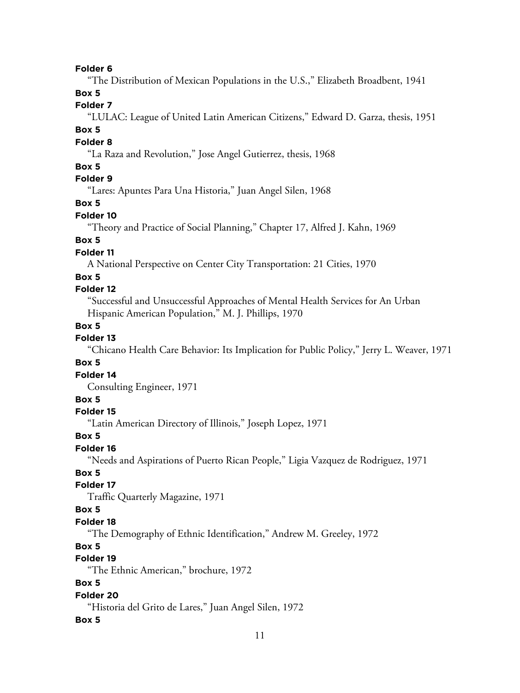"The Distribution of Mexican Populations in the U.S.," Elizabeth Broadbent, 1941

## **Box 5**

## **Folder 7**

"LULAC: League of United Latin American Citizens," Edward D. Garza, thesis, 1951

#### **Box 5**

#### **Folder 8**

"La Raza and Revolution," Jose Angel Gutierrez, thesis, 1968

#### **Box 5**

## **Folder 9**

"Lares: Apuntes Para Una Historia," Juan Angel Silen, 1968

## **Box 5**

## **Folder 10**

"Theory and Practice of Social Planning," Chapter 17, Alfred J. Kahn, 1969

## **Box 5**

## **Folder 11**

A National Perspective on Center City Transportation: 21 Cities, 1970

#### **Box 5**

## **Folder 12**

"Successful and Unsuccessful Approaches of Mental Health Services for An Urban Hispanic American Population," M. J. Phillips, 1970

#### **Box 5**

## **Folder 13**

"Chicano Health Care Behavior: Its Implication for Public Policy," Jerry L. Weaver, 1971

#### **Box 5**

## **Folder 14**

Consulting Engineer, 1971

## **Box 5**

#### **Folder 15**

"Latin American Directory of Illinois," Joseph Lopez, 1971

#### **Box 5**

## **Folder 16**

"Needs and Aspirations of Puerto Rican People," Ligia Vazquez de Rodriguez, 1971

## **Box 5**

## **Folder 17**

Traffic Quarterly Magazine, 1971

## **Box 5**

#### **Folder 18**

"The Demography of Ethnic Identification," Andrew M. Greeley, 1972

## **Box 5**

# **Folder 19**

"The Ethnic American," brochure, 1972

## **Box 5**

#### **Folder 20**

"Historia del Grito de Lares," Juan Angel Silen, 1972

#### **Box 5**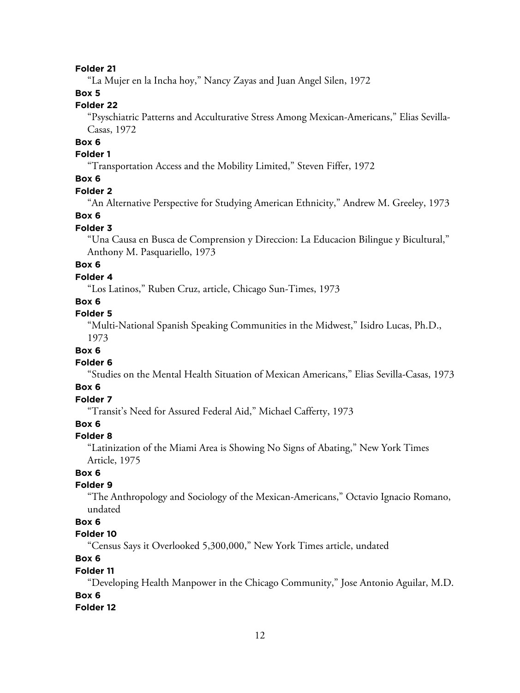"La Mujer en la Incha hoy," Nancy Zayas and Juan Angel Silen, 1972

## **Box 5**

## **Folder 22**

"Psyschiatric Patterns and Acculturative Stress Among Mexican-Americans," Elias Sevilla-Casas, 1972

# **Box 6**

## **Folder 1**

"Transportation Access and the Mobility Limited," Steven Fiffer, 1972

## **Box 6**

#### **Folder 2**

"An Alternative Perspective for Studying American Ethnicity," Andrew M. Greeley, 1973

#### **Box 6**

#### **Folder 3**

"Una Causa en Busca de Comprension y Direccion: La Educacion Bilingue y Bicultural," Anthony M. Pasquariello, 1973

## **Box 6**

## **Folder 4**

"Los Latinos," Ruben Cruz, article, Chicago Sun-Times, 1973

## **Box 6**

## **Folder 5**

"Multi-National Spanish Speaking Communities in the Midwest," Isidro Lucas, Ph.D., 1973

#### **Box 6**

#### **Folder 6**

"Studies on the Mental Health Situation of Mexican Americans," Elias Sevilla-Casas, 1973

#### **Box 6**

## **Folder 7**

"Transit's Need for Assured Federal Aid," Michael Cafferty, 1973

## **Box 6**

#### **Folder 8**

"Latinization of the Miami Area is Showing No Signs of Abating," New York Times Article, 1975

## **Box 6**

## **Folder 9**

"The Anthropology and Sociology of the Mexican-Americans," Octavio Ignacio Romano, undated

## **Box 6**

## **Folder 10**

"Census Says it Overlooked 5,300,000," New York Times article, undated

## **Box 6**

#### **Folder 11**

"Developing Health Manpower in the Chicago Community," Jose Antonio Aguilar, M.D. **Box 6**

#### **Folder 12**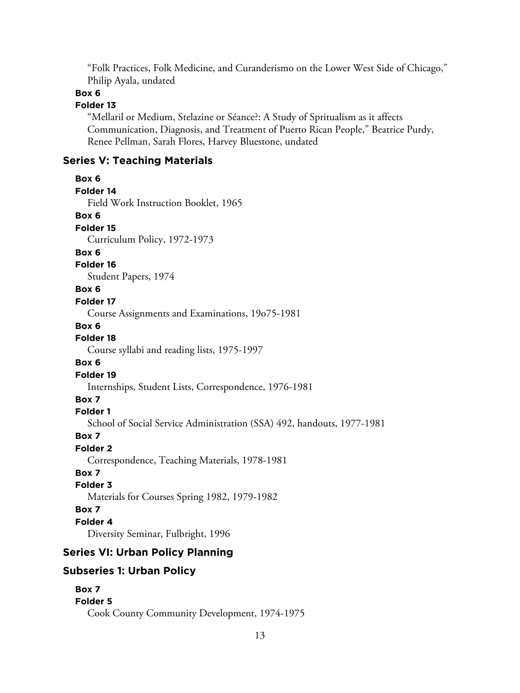"Folk Practices, Folk Medicine, and Curanderismo on the Lower West Side of Chicago," Philip Ayala, undated

## **Box 6**

# **Folder 13**

"Mellaril or Medium, Stelazine or Séance?: A Study of Spritualism as it affects Communication, Diagnosis, and Treatment of Puerto Rican People," Beatrice Purdy, Renee Pellman, Sarah Flores, Harvey Bluestone, undated

# **Series V: Teaching Materials**

| Box 6                                                                  |
|------------------------------------------------------------------------|
| Folder 14                                                              |
| Field Work Instruction Booklet, 1965                                   |
| Box 6                                                                  |
| Folder <sub>15</sub>                                                   |
| Curriculum Policy, 1972-1973                                           |
| Box 6                                                                  |
| Folder 16                                                              |
| Student Papers, 1974                                                   |
| Box 6                                                                  |
| Folder 17                                                              |
| Course Assignments and Examinations, 19o75-1981                        |
| Box 6                                                                  |
| Folder <sub>18</sub>                                                   |
| Course syllabi and reading lists, 1975-1997                            |
| Box 6                                                                  |
| Folder 19                                                              |
| Internships, Student Lists, Correspondence, 1976-1981                  |
| Box 7                                                                  |
| Folder 1                                                               |
| School of Social Service Administration (SSA) 492, handouts, 1977-1981 |
| Box 7                                                                  |
| <b>Folder 2</b>                                                        |
| Correspondence, Teaching Materials, 1978-1981                          |
| Box 7                                                                  |
| <b>Folder 3</b>                                                        |
| Materials for Courses Spring 1982, 1979-1982                           |
| Box 7                                                                  |
| Folder 4                                                               |
| Diversity Seminar, Fulbright, 1996                                     |
| <b>Series VI: Urban Policy Planning</b>                                |
| <b>Subseries 1: Urban Policy</b>                                       |
|                                                                        |

```
Box 7
Folder 5
  Cook County Community Development, 1974-1975
```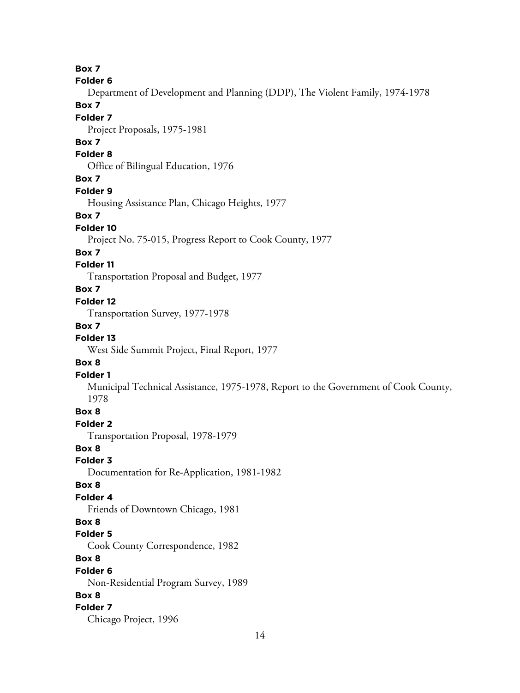**Box 7**

#### **Folder 6**

Department of Development and Planning (DDP), The Violent Family, 1974-1978

# **Box 7**

## **Folder 7**

Project Proposals, 1975-1981

## **Box 7**

## **Folder 8**

Office of Bilingual Education, 1976

#### **Box 7**

#### **Folder 9**

Housing Assistance Plan, Chicago Heights, 1977

#### **Box 7**

#### **Folder 10**

Project No. 75-015, Progress Report to Cook County, 1977

#### **Box 7**

## **Folder 11**

Transportation Proposal and Budget, 1977

## **Box 7**

# **Folder 12**

Transportation Survey, 1977-1978

## **Box 7**

## **Folder 13**

West Side Summit Project, Final Report, 1977

#### **Box 8**

#### **Folder 1**

Municipal Technical Assistance, 1975-1978, Report to the Government of Cook County, 1978

#### **Box 8**

## **Folder 2**

Transportation Proposal, 1978-1979

## **Box 8**

#### **Folder 3**

Documentation for Re-Application, 1981-1982

#### **Box 8**

#### **Folder 4**

Friends of Downtown Chicago, 1981

#### **Box 8**

#### **Folder 5**

Cook County Correspondence, 1982

## **Box 8**

#### **Folder 6**

Non-Residential Program Survey, 1989

#### **Box 8**

## **Folder 7**

Chicago Project, 1996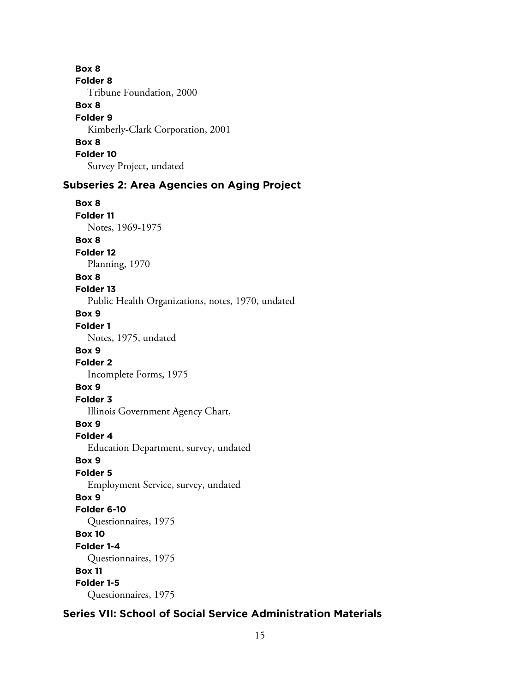**Box 8 Folder 8** Tribune Foundation, 2000 **Box 8 Folder 9** Kimberly-Clark Corporation, 2001 **Box 8 Folder 10** Survey Project, undated

## **Subseries 2: Area Agencies on Aging Project**

**Box 8 Folder 11** Notes, 1969-1975 **Box 8 Folder 12** Planning, 1970 **Box 8 Folder 13** Public Health Organizations, notes, 1970, undated **Box 9 Folder 1** Notes, 1975, undated **Box 9 Folder 2** Incomplete Forms, 1975 **Box 9 Folder 3** Illinois Government Agency Chart, **Box 9 Folder 4** Education Department, survey, undated **Box 9 Folder 5** Employment Service, survey, undated **Box 9 Folder 6-10** Questionnaires, 1975 **Box 10 Folder 1-4** Questionnaires, 1975 **Box 11 Folder 1-5** Questionnaires, 1975

# **Series VII: School of Social Service Administration Materials**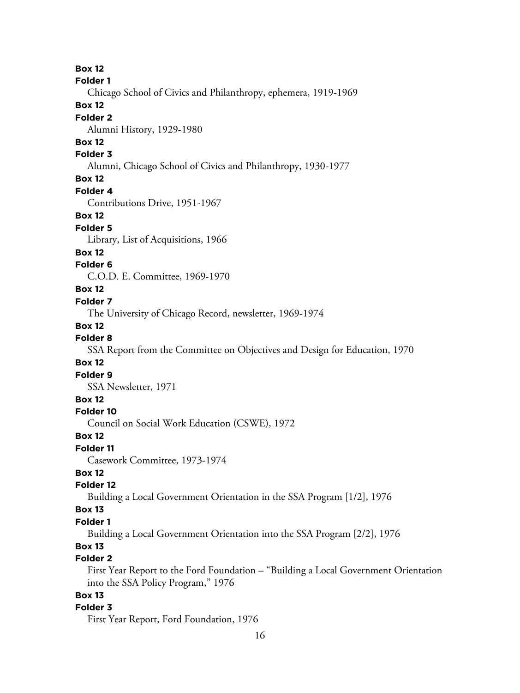**Box 12 Folder 1** Chicago School of Civics and Philanthropy, ephemera, 1919-1969 **Box 12 Folder 2** Alumni History, 1929-1980 **Box 12 Folder 3** Alumni, Chicago School of Civics and Philanthropy, 1930-1977 **Box 12 Folder 4** Contributions Drive, 1951-1967 **Box 12 Folder 5** Library, List of Acquisitions, 1966 **Box 12 Folder 6** C.O.D. E. Committee, 1969-1970 **Box 12 Folder 7** The University of Chicago Record, newsletter, 1969-1974 **Box 12 Folder 8** SSA Report from the Committee on Objectives and Design for Education, 1970 **Box 12 Folder 9** SSA Newsletter, 1971 **Box 12 Folder 10** Council on Social Work Education (CSWE), 1972 **Box 12 Folder 11** Casework Committee, 1973-1974 **Box 12 Folder 12** Building a Local Government Orientation in the SSA Program [1/2], 1976 **Box 13 Folder 1** Building a Local Government Orientation into the SSA Program [2/2], 1976 **Box 13 Folder 2** First Year Report to the Ford Foundation – "Building a Local Government Orientation into the SSA Policy Program," 1976 **Box 13 Folder 3** First Year Report, Ford Foundation, 1976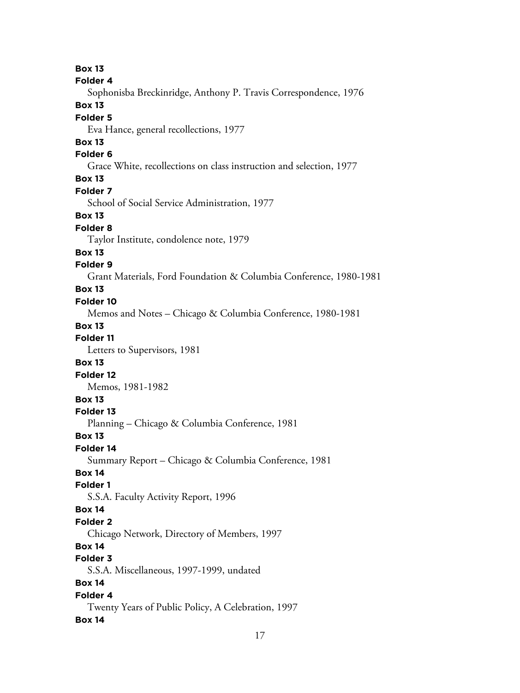**Box 13 Folder 4** Sophonisba Breckinridge, Anthony P. Travis Correspondence, 1976 **Box 13 Folder 5** Eva Hance, general recollections, 1977 **Box 13 Folder 6** Grace White, recollections on class instruction and selection, 1977 **Box 13 Folder 7** School of Social Service Administration, 1977 **Box 13 Folder 8** Taylor Institute, condolence note, 1979 **Box 13 Folder 9** Grant Materials, Ford Foundation & Columbia Conference, 1980-1981 **Box 13 Folder 10** Memos and Notes – Chicago & Columbia Conference, 1980-1981 **Box 13 Folder 11** Letters to Supervisors, 1981 **Box 13 Folder 12** Memos, 1981-1982 **Box 13 Folder 13** Planning – Chicago & Columbia Conference, 1981 **Box 13 Folder 14** Summary Report – Chicago & Columbia Conference, 1981 **Box 14 Folder 1** S.S.A. Faculty Activity Report, 1996 **Box 14 Folder 2** Chicago Network, Directory of Members, 1997 **Box 14 Folder 3** S.S.A. Miscellaneous, 1997-1999, undated **Box 14 Folder 4** Twenty Years of Public Policy, A Celebration, 1997 **Box 14**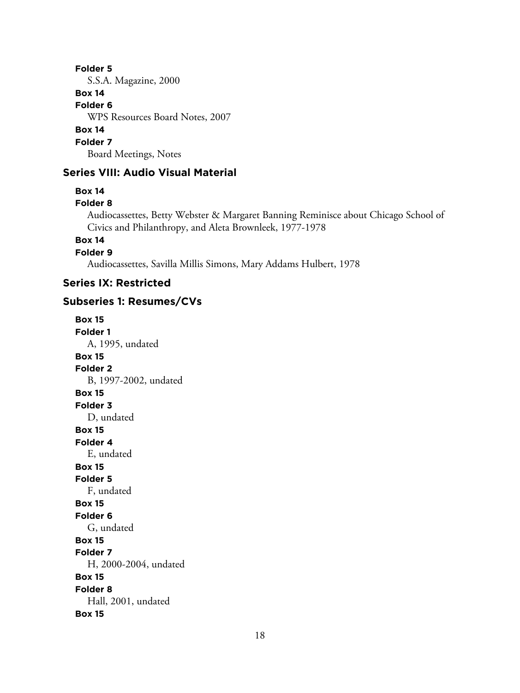S.S.A. Magazine, 2000

# **Box 14**

**Folder 6**

WPS Resources Board Notes, 2007

## **Box 14**

**Folder 7**

Board Meetings, Notes

# **Series VIII: Audio Visual Material**

## **Box 14**

## **Folder 8**

Audiocassettes, Betty Webster & Margaret Banning Reminisce about Chicago School of Civics and Philanthropy, and Aleta Brownleek, 1977-1978

## **Box 14**

**Folder 9**

Audiocassettes, Savilla Millis Simons, Mary Addams Hulbert, 1978

# **Series IX: Restricted**

## **Subseries 1: Resumes/CVs**

**Box 15 Folder 1** A, 1995, undated **Box 15 Folder 2** B, 1997-2002, undated **Box 15 Folder 3** D, undated **Box 15 Folder 4** E, undated **Box 15 Folder 5** F, undated **Box 15 Folder 6** G, undated **Box 15 Folder 7** H, 2000-2004, undated **Box 15 Folder 8** Hall, 2001, undated **Box 15**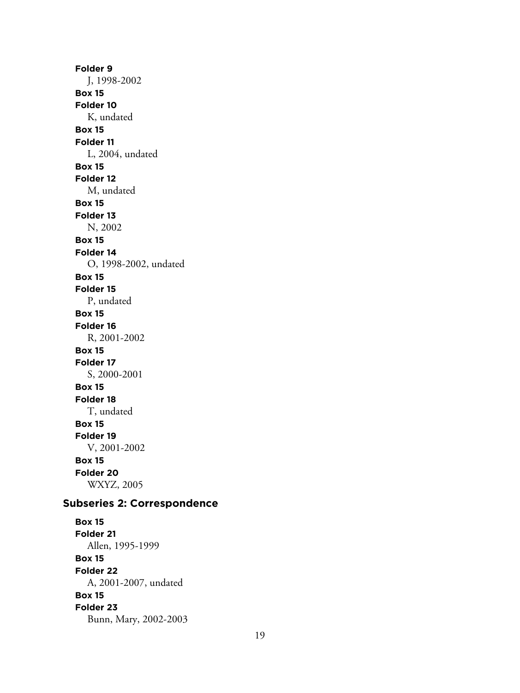**Folder 9** J, 1998-2002 **Box 15 Folder 10** K, undated **Box 15 Folder 11** L, 2004, undated **Box 15 Folder 12** M, undated **Box 15 Folder 13** N, 2002 **Box 15 Folder 14** O, 1998-2002, undated **Box 15 Folder 15** P, undated **Box 15 Folder 16** R, 2001-2002 **Box 15 Folder 17** S, 2000-2001 **Box 15 Folder 18** T, undated **Box 15 Folder 19** V, 2001-2002 **Box 15 Folder 20** WXYZ, 2005 **Subseries 2: Correspondence**

**Box 15 Folder 21** Allen, 1995-1999 **Box 15 Folder 22** A, 2001-2007, undated **Box 15 Folder 23** Bunn, Mary, 2002-2003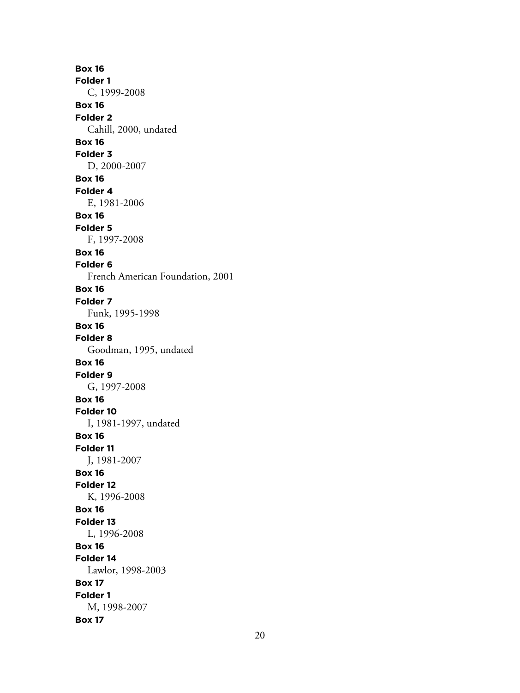**Box 16 Folder 1** C, 1999-2008 **Box 16 Folder 2** Cahill, 2000, undated **Box 16 Folder 3** D, 2000-2007 **Box 16 Folder 4** E, 1981-2006 **Box 16 Folder 5** F, 1997-2008 **Box 16 Folder 6** French American Foundation, 2001 **Box 16 Folder 7** Funk, 1995-1998 **Box 16 Folder 8** Goodman, 1995, undated **Box 16 Folder 9** G, 1997-2008 **Box 16 Folder 10** I, 1981-1997, undated **Box 16 Folder 11** J, 1981-2007 **Box 16 Folder 12** K, 1996-2008 **Box 16 Folder 13** L, 1996-2008 **Box 16 Folder 14** Lawlor, 1998-2003 **Box 17 Folder 1** M, 1998-2007 **Box 17**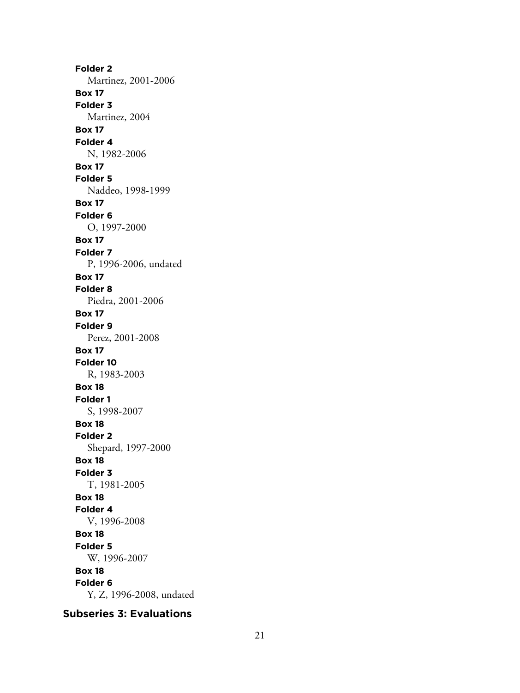**Folder 2** Martinez, 2001-2006 **Box 17 Folder 3** Martinez, 2004 **Box 17 Folder 4** N, 1982-2006 **Box 17 Folder 5** Naddeo, 1998-1999 **Box 17 Folder 6** O, 1997-2000 **Box 17 Folder 7** P, 1996-2006, undated **Box 17 Folder 8** Piedra, 2001-2006 **Box 17 Folder 9** Perez, 2001-2008 **Box 17 Folder 10** R, 1983-2003 **Box 18 Folder 1** S, 1998-2007 **Box 18 Folder 2** Shepard, 1997-2000 **Box 18 Folder 3** T, 1981-2005 **Box 18 Folder 4** V, 1996-2008 **Box 18 Folder 5** W, 1996-2007 **Box 18 Folder 6** Y, Z, 1996-2008, undated

## **Subseries 3: Evaluations**